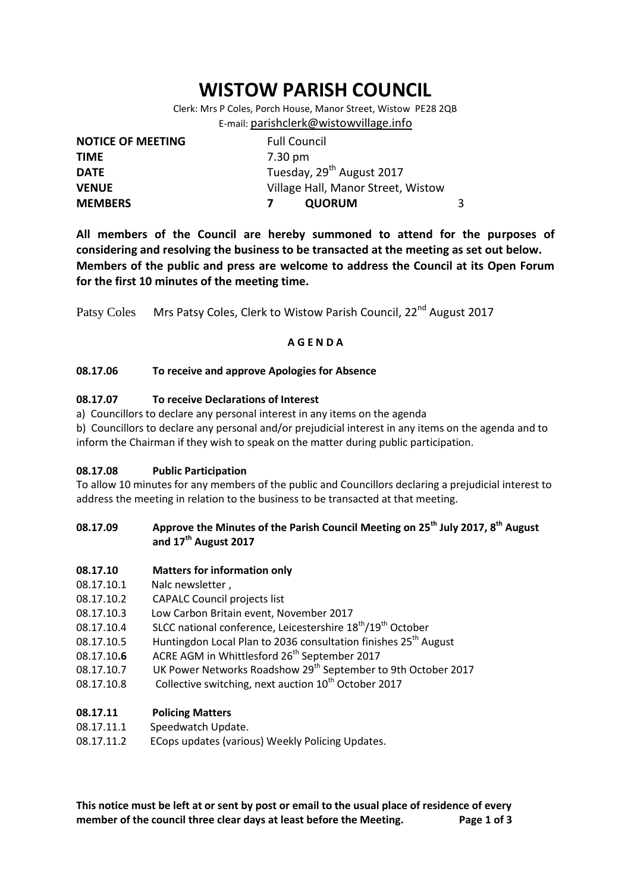# **WISTOW PARISH COUNCIL**

Clerk: Mrs P Coles, Porch House, Manor Street, Wistow PE28 2QB E-mail: [parishclerk@wistowvillage.info](mailto:parishclerk@wistowvillage.info)

| <b>NOTICE OF MEETING</b> | <b>Full Council</b>                   |   |
|--------------------------|---------------------------------------|---|
| <b>TIME</b>              | 7.30 pm                               |   |
| <b>DATE</b>              | Tuesday, 29 <sup>th</sup> August 2017 |   |
| <b>VENUE</b>             | Village Hall, Manor Street, Wistow    |   |
| <b>MEMBERS</b>           | <b>QUORUM</b>                         | 3 |

**All members of the Council are hereby summoned to attend for the purposes of considering and resolving the business to be transacted at the meeting as set out below. Members of the public and press are welcome to address the Council at its Open Forum for the first 10 minutes of the meeting time.**

Patsy Coles Mrs Patsy Coles, Clerk to Wistow Parish Council, 22<sup>nd</sup> August 2017

## **A G E N D A**

## **08.17.06 To receive and approve Apologies for Absence**

## **08.17.07 To receive Declarations of Interest**

- a) Councillors to declare any personal interest in any items on the agenda
- b) Councillors to declare any personal and/or prejudicial interest in any items on the agenda and to inform the Chairman if they wish to speak on the matter during public participation.

## **08.17.08 Public Participation**

To allow 10 minutes for any members of the public and Councillors declaring a prejudicial interest to address the meeting in relation to the business to be transacted at that meeting.

## **08.17.09 Approve the Minutes of the Parish Council Meeting on 25th July 2017, 8th August and 17th August 2017**

## **08.17.10 Matters for information only**

- 08.17.10.1 Nalc newsletter ,
- 08.17.10.2 CAPALC Council projects list
- 08.17.10.3 Low Carbon Britain event, November 2017
- 08.17.10.4 SLCC national conference, Leicestershire 18<sup>th</sup>/19<sup>th</sup> October
- 08.17.10.5 Huntingdon Local Plan to 2036 consultation finishes 25<sup>th</sup> August
- 08.17.10.6 ACRE AGM in Whittlesford 26<sup>th</sup> September 2017
- 08.17.10.7 UK Power Networks Roadshow 29<sup>th</sup> September to 9th October 2017
- 08.17.10.8 Collective switching, next auction  $10^{th}$  October 2017

# **08.17.11 Policing Matters**

- 08.17.11.1 Speedwatch Update.
- 08.17.11.2 ECops updates (various) Weekly Policing Updates.

**This notice must be left at or sent by post or email to the usual place of residence of every member of the council three clear days at least before the Meeting. Page 1 of 3**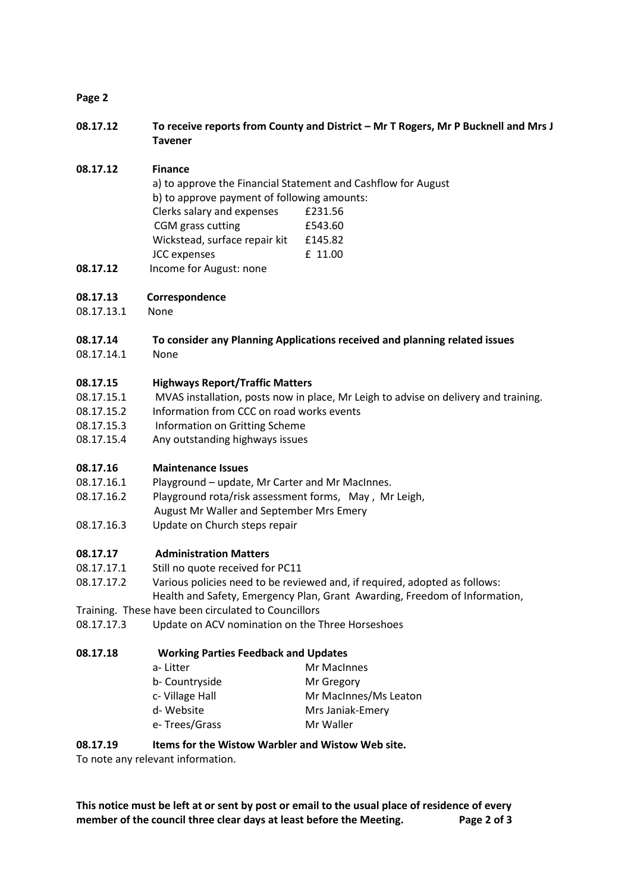## **Page 2**

**08.17.12 To receive reports from County and District – Mr T Rogers, Mr P Bucknell and Mrs J Tavener**

## **08.17.12 Finance**

- a) to approve the Financial Statement and Cashflow for August b) to approve payment of following amounts: Clerks salary and expenses £231.56 CGM grass cutting E543.60 Wickstead, surface repair kit £145.82 JCC expenses E 11.00
- **08.17.12** Income for August: none

## **08.17.13 Correspondence**

08.17.13.1 None

## **08.17.14 To consider any Planning Applications received and planning related issues**

08.17.14.1 None

## **08.17.15 Highways Report/Traffic Matters**

- 08.17.15.1 MVAS installation, posts now in place, Mr Leigh to advise on delivery and training.
- 08.17.15.2 Information from CCC on road works events
- 08.17.15.3 Information on Gritting Scheme
- 08.17.15.4 Any outstanding highways issues

## **08.17.16 Maintenance Issues**

- 08.17.16.1 Playground update, Mr Carter and Mr MacInnes.
- 08.17.16.2 Playground rota/risk assessment forms, May , Mr Leigh,
- August Mr Waller and September Mrs Emery
- 08.17.16.3 Update on Church steps repair

## **08.17.17 Administration Matters**

- 08.17.17.1 Still no quote received for PC11
- 08.17.17.2 Various policies need to be reviewed and, if required, adopted as follows:

Health and Safety, Emergency Plan, Grant Awarding, Freedom of Information,

- Training. These have been circulated to Councillors
- 08.17.17.3 Update on ACV nomination on the Three Horseshoes

# **08.17.18 Working Parties Feedback and Updates**

| a-Litter       | Mr MacInnes           |
|----------------|-----------------------|
| b- Countryside | Mr Gregory            |
| c-Village Hall | Mr MacInnes/Ms Leaton |
| d-Website      | Mrs Janiak-Emery      |
| e-Trees/Grass  | Mr Waller             |

## **08.17.19 Items for the Wistow Warbler and Wistow Web site.**

To note any relevant information.

**This notice must be left at or sent by post or email to the usual place of residence of every member of the council three clear days at least before the Meeting. Page 2 of 3**